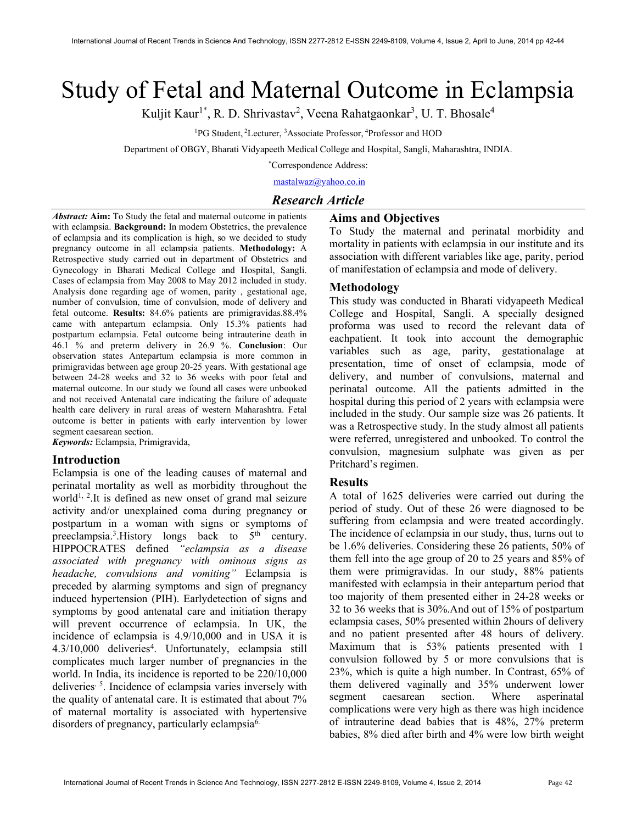# Study of Fetal and Maternal Outcome in Eclampsia

Kuljit Kaur<sup>1\*</sup>, R. D. Shrivastav<sup>2</sup>, Veena Rahatgaonkar<sup>3</sup>, U. T. Bhosale<sup>4</sup>

<sup>1</sup>PG Student, <sup>2</sup>Lecturer, <sup>3</sup>Associate Professor, <sup>4</sup>Professor and HOD

Department of OBGY, Bharati Vidyapeeth Medical College and Hospital, Sangli, Maharashtra, INDIA.

\*Correspondence Address:

mastalwaz@yahoo.co.in

## Research Article

Abstract: Aim: To Study the fetal and maternal outcome in patients with eclampsia. Background: In modern Obstetrics, the prevalence of eclampsia and its complication is high, so we decided to study pregnancy outcome in all eclampsia patients. Methodology: A Retrospective study carried out in department of Obstetrics and Gynecology in Bharati Medical College and Hospital, Sangli. Cases of eclampsia from May 2008 to May 2012 included in study. Analysis done regarding age of women, parity , gestational age, number of convulsion, time of convulsion, mode of delivery and fetal outcome. Results: 84.6% patients are primigravidas.88.4% came with antepartum eclampsia. Only 15.3% patients had postpartum eclampsia. Fetal outcome being intrauterine death in 46.1 % and preterm delivery in 26.9 %. Conclusion: Our observation states Antepartum eclampsia is more common in primigravidas between age group 20-25 years. With gestational age between 24-28 weeks and 32 to 36 weeks with poor fetal and maternal outcome. In our study we found all cases were unbooked and not received Antenatal care indicating the failure of adequate health care delivery in rural areas of western Maharashtra. Fetal outcome is better in patients with early intervention by lower segment caesarean section.

Keywords: Eclampsia, Primigravida,

#### Introduction

Eclampsia is one of the leading causes of maternal and perinatal mortality as well as morbidity throughout the world<sup>1, 2</sup>.It is defined as new onset of grand mal seizure activity and/or unexplained coma during pregnancy or postpartum in a woman with signs or symptoms of preeclampsia.<sup>3</sup>. History longs back to  $5<sup>th</sup>$  century. HIPPOCRATES defined "eclampsia as a disease associated with pregnancy with ominous signs as headache, convulsions and vomiting" Eclampsia is preceded by alarming symptoms and sign of pregnancy induced hypertension (PIH). Earlydetection of signs and symptoms by good antenatal care and initiation therapy will prevent occurrence of eclampsia. In UK, the incidence of eclampsia is 4.9/10,000 and in USA it is 4.3/10,000 deliveries<sup>4</sup>. Unfortunately, eclampsia still complicates much larger number of pregnancies in the world. In India, its incidence is reported to be 220/10,000 deliveries, 5. Incidence of eclampsia varies inversely with the quality of antenatal care. It is estimated that about 7% of maternal mortality is associated with hypertensive disorders of pregnancy, particularly eclampsia6.

Aims and Objectives To Study the maternal and perinatal morbidity and mortality in patients with eclampsia in our institute and its association with different variables like age, parity, period of manifestation of eclampsia and mode of delivery.

#### Methodology

This study was conducted in Bharati vidyapeeth Medical College and Hospital, Sangli. A specially designed proforma was used to record the relevant data of eachpatient. It took into account the demographic variables such as age, parity, gestationalage at presentation, time of onset of eclampsia, mode of delivery, and number of convulsions, maternal and perinatal outcome. All the patients admitted in the hospital during this period of 2 years with eclampsia were included in the study. Our sample size was 26 patients. It was a Retrospective study. In the study almost all patients were referred, unregistered and unbooked. To control the convulsion, magnesium sulphate was given as per Pritchard's regimen.

#### Results

A total of 1625 deliveries were carried out during the period of study. Out of these 26 were diagnosed to be suffering from eclampsia and were treated accordingly. The incidence of eclampsia in our study, thus, turns out to be 1.6% deliveries. Considering these 26 patients, 50% of them fell into the age group of 20 to 25 years and 85% of them were primigravidas. In our study, 88% patients manifested with eclampsia in their antepartum period that too majority of them presented either in 24-28 weeks or 32 to 36 weeks that is 30%.And out of 15% of postpartum eclampsia cases, 50% presented within 2hours of delivery and no patient presented after 48 hours of delivery. Maximum that is 53% patients presented with 1 convulsion followed by 5 or more convulsions that is 23%, which is quite a high number. In Contrast, 65% of them delivered vaginally and 35% underwent lower segment caesarean section. Where asperinatal complications were very high as there was high incidence of intrauterine dead babies that is 48%, 27% preterm babies, 8% died after birth and 4% were low birth weight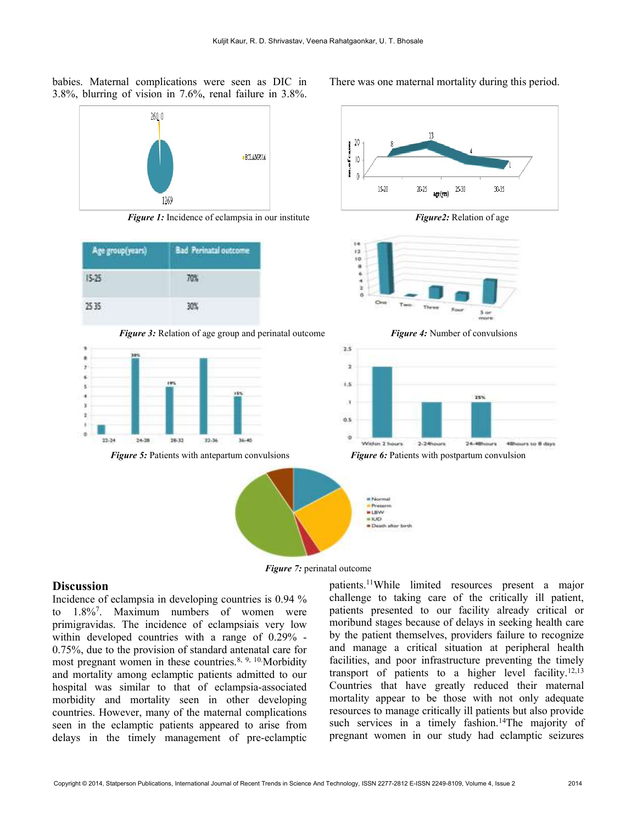babies. Maternal complications were seen as DIC in 3.8%, blurring of vision in 7.6%, renal failure in 3.8%.



Figure 1: Incidence of eclampsia in our institute Figure 2: Relation of age



**Figure 3:** Relation of age group and perinatal outcome Figure 4: Number of convulsions



There was one maternal mortality during this period.











Figure 7: perinatal outcome

### **Discussion**

Incidence of eclampsia in developing countries is 0.94 % to 1.8%<sup>7</sup> . Maximum numbers of women were primigravidas. The incidence of eclampsiais very low within developed countries with a range of 0.29% - 0.75%, due to the provision of standard antenatal care for most pregnant women in these countries. $8, 9, 10$ . Morbidity and mortality among eclamptic patients admitted to our hospital was similar to that of eclampsia-associated morbidity and mortality seen in other developing countries. However, many of the maternal complications seen in the eclamptic patients appeared to arise from delays in the timely management of pre-eclamptic

patients.<sup>11</sup>While limited resources present a major challenge to taking care of the critically ill patient, patients presented to our facility already critical or moribund stages because of delays in seeking health care by the patient themselves, providers failure to recognize and manage a critical situation at peripheral health facilities, and poor infrastructure preventing the timely transport of patients to a higher level facility.12,13 Countries that have greatly reduced their maternal mortality appear to be those with not only adequate resources to manage critically ill patients but also provide such services in a timely fashion.<sup>14</sup>The majority of pregnant women in our study had eclamptic seizures